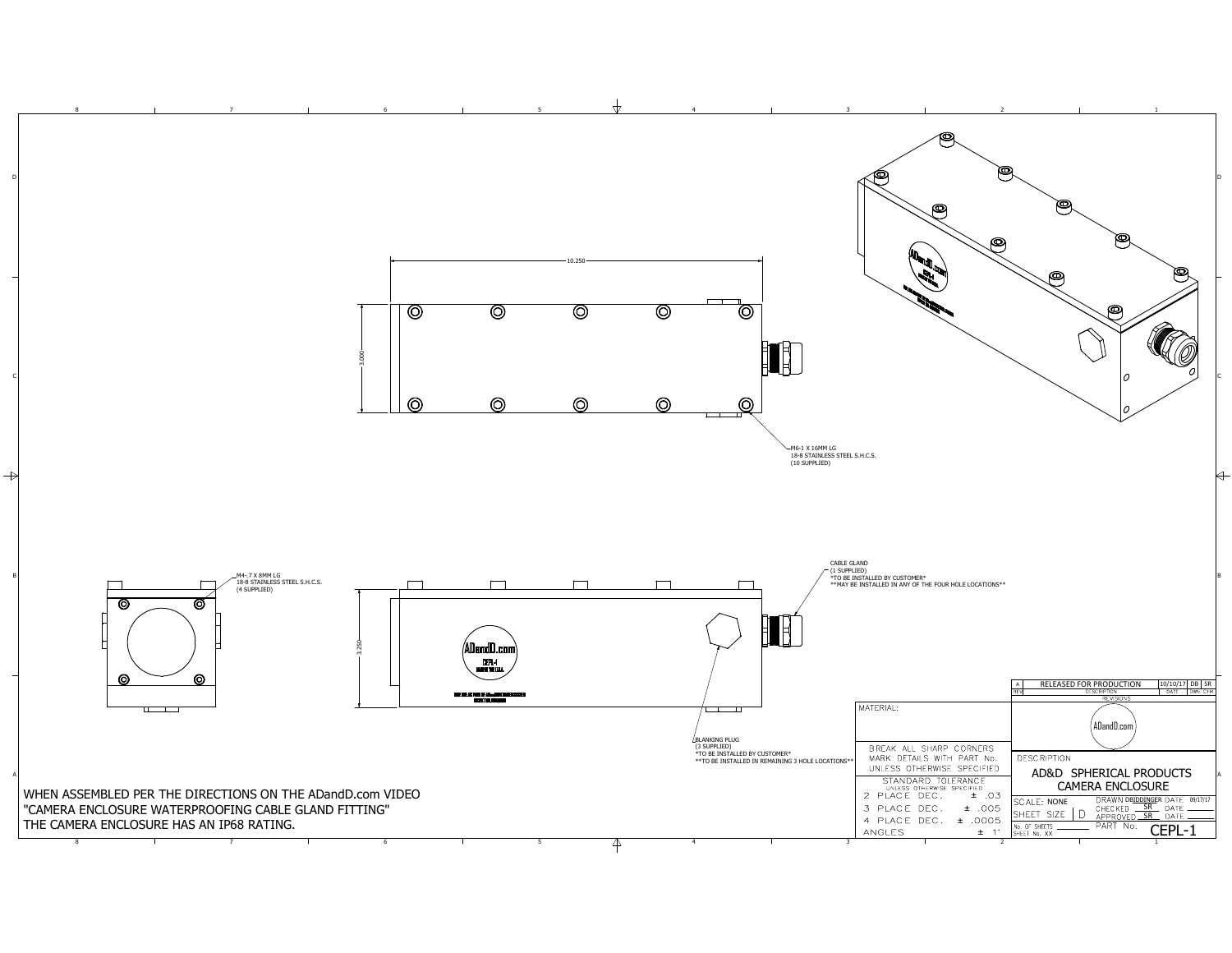